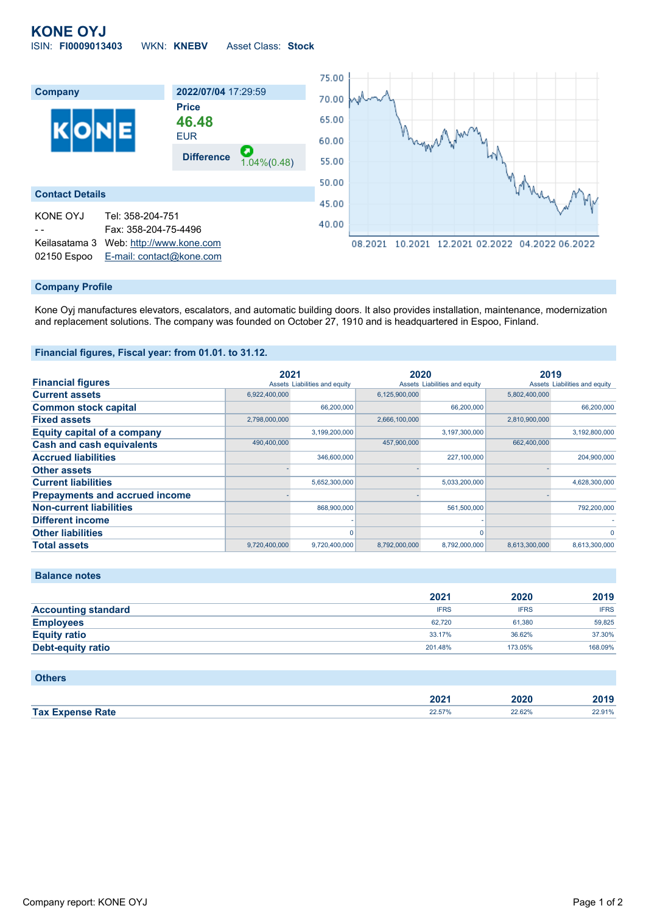# **KONE OYJ** ISIN: **FI0009013403** WKN: **KNEBV** Asset Class: **Stock**



#### **Company Profile**

Kone Oyj manufactures elevators, escalators, and automatic building doors. It also provides installation, maintenance, modernization and replacement solutions. The company was founded on October 27, 1910 and is headquartered in Espoo, Finland.

#### **Financial figures, Fiscal year: from 01.01. to 31.12.**

|                                       | 2021          |                               | 2020          |                               | 2019          |                               |
|---------------------------------------|---------------|-------------------------------|---------------|-------------------------------|---------------|-------------------------------|
| <b>Financial figures</b>              |               | Assets Liabilities and equity |               | Assets Liabilities and equity |               | Assets Liabilities and equity |
| <b>Current assets</b>                 | 6,922,400,000 |                               | 6,125,900,000 |                               | 5,802,400,000 |                               |
| <b>Common stock capital</b>           |               | 66,200,000                    |               | 66,200,000                    |               | 66,200,000                    |
| <b>Fixed assets</b>                   | 2,798,000,000 |                               | 2,666,100,000 |                               | 2,810,900,000 |                               |
| <b>Equity capital of a company</b>    |               | 3,199,200,000                 |               | 3,197,300,000                 |               | 3,192,800,000                 |
| <b>Cash and cash equivalents</b>      | 490,400,000   |                               | 457,900,000   |                               | 662,400,000   |                               |
| <b>Accrued liabilities</b>            |               | 346,600,000                   |               | 227,100,000                   |               | 204,900,000                   |
| <b>Other assets</b>                   |               |                               |               |                               |               |                               |
| <b>Current liabilities</b>            |               | 5,652,300,000                 |               | 5,033,200,000                 |               | 4,628,300,000                 |
| <b>Prepayments and accrued income</b> |               |                               |               |                               |               |                               |
| <b>Non-current liabilities</b>        |               | 868,900,000                   |               | 561,500,000                   |               | 792,200,000                   |
| <b>Different income</b>               |               |                               |               |                               |               |                               |
| <b>Other liabilities</b>              |               |                               |               |                               |               |                               |
| <b>Total assets</b>                   | 9,720,400,000 | 9,720,400,000                 | 8,792,000,000 | 8,792,000,000                 | 8,613,300,000 | 8,613,300,000                 |

#### **Balance notes**

|                            | 2021        | 2020        | 2019        |
|----------------------------|-------------|-------------|-------------|
| <b>Accounting standard</b> | <b>IFRS</b> | <b>IFRS</b> | <b>IFRS</b> |
| <b>Employees</b>           | 62.720      | 61.380      | 59.825      |
| <b>Equity ratio</b>        | 33.17%      | 36.62%      | 37.30%      |
| <b>Debt-equity ratio</b>   | 201.48%     | 173.05%     | 168.09%     |

| <b>Others</b>           |        |        |        |
|-------------------------|--------|--------|--------|
|                         | 2021   | 2020   | 2019   |
| <b>Tax Expense Rate</b> | 22.57% | 22.62% | 22.91% |